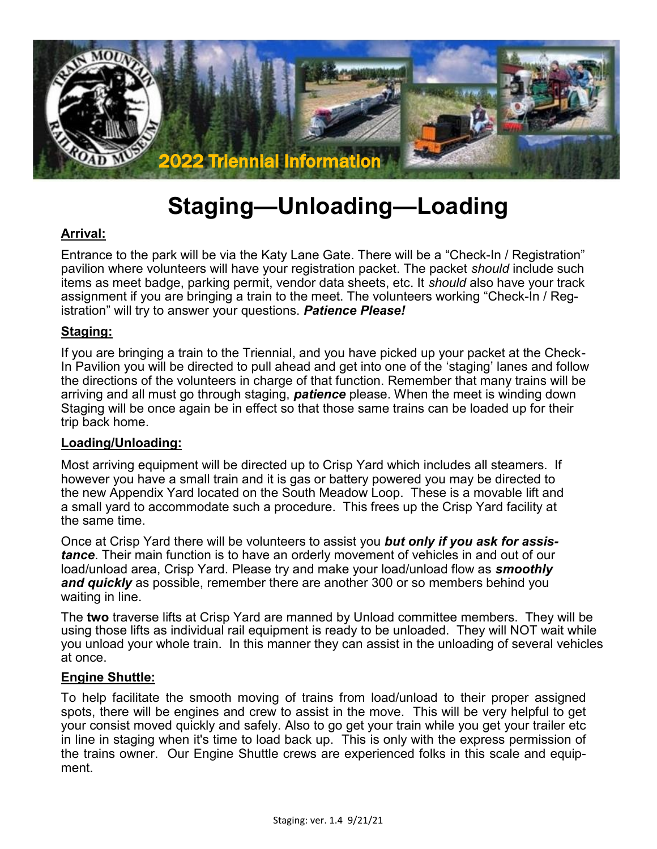

# **Staging—Unloading—Loading**

# **Arrival:**

Entrance to the park will be via the Katy Lane Gate. There will be a "Check-In / Registration" pavilion where volunteers will have your registration packet. The packet *should* include such items as meet badge, parking permit, vendor data sheets, etc. It *should* also have your track assignment if you are bringing a train to the meet. The volunteers working "Check-In / Registration" will try to answer your questions. *Patience Please!*

## **Staging:**

If you are bringing a train to the Triennial, and you have picked up your packet at the Check-In Pavilion you will be directed to pull ahead and get into one of the 'staging' lanes and follow the directions of the volunteers in charge of that function. Remember that many trains will be arriving and all must go through staging, *patience* please. When the meet is winding down Staging will be once again be in effect so that those same trains can be loaded up for their trip back home.

#### **Loading/Unloading:**

Most arriving equipment will be directed up to Crisp Yard which includes all steamers. If however you have a small train and it is gas or battery powered you may be directed to the new Appendix Yard located on the South Meadow Loop. These is a movable lift and a small yard to accommodate such a procedure. This frees up the Crisp Yard facility at the same time.

Once at Crisp Yard there will be volunteers to assist you *but only if you ask for assistance*. Their main function is to have an orderly movement of vehicles in and out of our load/unload area, Crisp Yard. Please try and make your load/unload flow as *smoothly and quickly* as possible, remember there are another 300 or so members behind you waiting in line.

The **two** traverse lifts at Crisp Yard are manned by Unload committee members. They will be using those lifts as individual rail equipment is ready to be unloaded. They will NOT wait while you unload your whole train. In this manner they can assist in the unloading of several vehicles at once.

#### **Engine Shuttle:**

To help facilitate the smooth moving of trains from load/unload to their proper assigned spots, there will be engines and crew to assist in the move. This will be very helpful to get your consist moved quickly and safely. Also to go get your train while you get your trailer etc in line in staging when it's time to load back up. This is only with the express permission of the trains owner. Our Engine Shuttle crews are experienced folks in this scale and equipment.